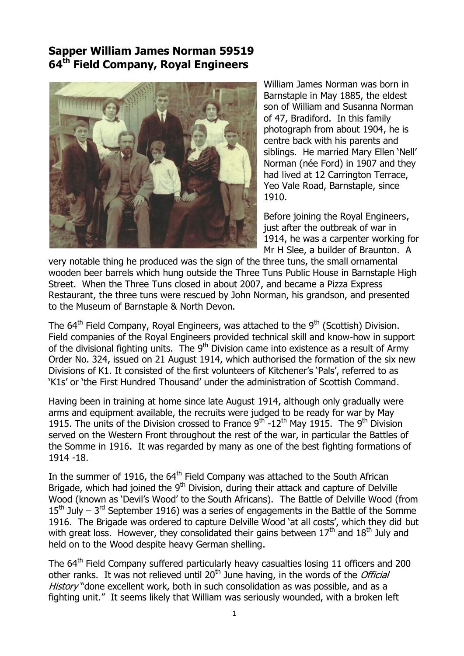## **Sapper William James Norman 59519 64th Field Company, Royal Engineers**



William James Norman was born in Barnstaple in May 1885, the eldest son of William and Susanna Norman of 47, Bradiford. In this family photograph from about 1904, he is centre back with his parents and siblings. He married Mary Ellen 'Nell' Norman (née Ford) in 1907 and they had lived at 12 Carrington Terrace, Yeo Vale Road, Barnstaple, since 1910.

Before joining the Royal Engineers, just after the outbreak of war in 1914, he was a carpenter working for Mr H Slee, a builder of Braunton. A

very notable thing he produced was the sign of the three tuns, the small ornamental wooden beer barrels which hung outside the Three Tuns Public House in Barnstaple High Street. When the Three Tuns closed in about 2007, and became a Pizza Express Restaurant, the three tuns were rescued by John Norman, his grandson, and presented to the Museum of Barnstaple & North Devon.

The  $64<sup>th</sup>$  Field Company, Royal Engineers, was attached to the  $9<sup>th</sup>$  (Scottish) Division. Field companies of the Royal Engineers provided technical skill and know-how in support of the divisional fighting units. The  $9<sup>th</sup>$  Division came into existence as a result of Army Order No. 324, issued on 21 August 1914, which authorised the formation of the six new Divisions of K1. It consisted of the first volunteers of Kitchener's 'Pals', referred to as "K1s" or "the First Hundred Thousand" under the administration of Scottish Command.

Having been in training at home since late August 1914, although only gradually were arms and equipment available, the recruits were judged to be ready for war by May 1915. The units of the Division crossed to France  $9^{th}$  -12<sup>th</sup> May 1915. The  $9^{th}$  Division served on the Western Front throughout the rest of the war, in particular the Battles of the Somme in 1916. It was regarded by many as one of the best fighting formations of 1914 -18.

In the summer of 1916, the 64<sup>th</sup> Field Company was attached to the South African Brigade, which had joined the 9<sup>th</sup> Division, during their attack and capture of Delville Wood (known as "Devil"s Wood" to the South Africans). The Battle of Delville Wood (from  $15<sup>th</sup>$  July – 3<sup>rd</sup> September 1916) was a series of engagements in the Battle of the Somme 1916. The Brigade was ordered to capture Delville Wood 'at all costs', which they did but with great loss. However, they consolidated their gains between  $17<sup>th</sup>$  and  $18<sup>th</sup>$  July and held on to the Wood despite heavy German shelling.

The 64<sup>th</sup> Field Company suffered particularly heavy casualties losing 11 officers and 200 other ranks. It was not relieved until  $20<sup>th</sup>$  June having, in the words of the *Official* History "done excellent work, both in such consolidation as was possible, and as a fighting unit." It seems likely that William was seriously wounded, with a broken left